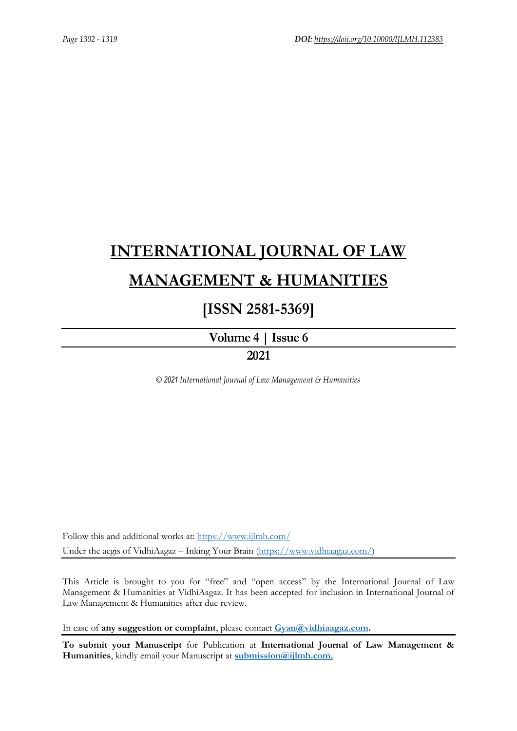# **[INTERNATIONAL JOURNAL OF LAW](https://www.ijlmh.com/)  [MANAGEMENT & HUMANITIES](https://www.ijlmh.com/)**

## **[ISSN 2581-5369]**

**[Volume 4 |](https://www.ijlmh.com/publications/volume-iv-issue-vi/) Issue 6**

### **2021**

*© 2021 International Journal of Law Management & Humanities*

Follow this and additional works at:<https://www.ijlmh.com/> Under the aegis of VidhiAagaz – Inking Your Brain [\(https://www.vidhiaagaz.com/\)](https://www.vidhiaagaz.com/)

This Article is brought to you for "free" and "open access" by the International Journal of Law Management & Humanities at VidhiAagaz. It has been accepted for inclusion in International Journal of Law Management & Humanities after due review.

In case of **any suggestion or complaint**, please contact **[Gyan@vidhiaagaz.com.](mailto:Gyan@vidhiaagaz.com)** 

**To submit your Manuscript** for Publication at **International Journal of Law Management & Humanities**, kindly email your Manuscript at **[submission@ijlmh.com.](mailto:submission@ijlmh.com)**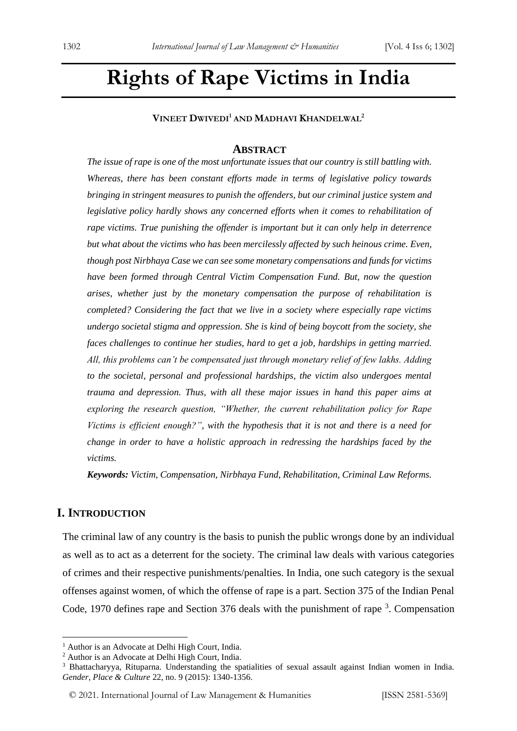## **Rights of Rape Victims in India**

**VINEET DWIVEDI<sup>1</sup> AND MADHAVI KHANDELWAL<sup>2</sup>**

#### **ABSTRACT**

*The issue of rape is one of the most unfortunate issues that our country is still battling with. Whereas, there has been constant efforts made in terms of legislative policy towards bringing in stringent measures to punish the offenders, but our criminal justice system and legislative policy hardly shows any concerned efforts when it comes to rehabilitation of rape victims. True punishing the offender is important but it can only help in deterrence but what about the victims who has been mercilessly affected by such heinous crime. Even, though post Nirbhaya Case we can see some monetary compensations and funds for victims have been formed through Central Victim Compensation Fund. But, now the question arises, whether just by the monetary compensation the purpose of rehabilitation is completed? Considering the fact that we live in a society where especially rape victims undergo societal stigma and oppression. She is kind of being boycott from the society, she faces challenges to continue her studies, hard to get a job, hardships in getting married. All, this problems can't be compensated just through monetary relief of few lakhs. Adding to the societal, personal and professional hardships, the victim also undergoes mental trauma and depression. Thus, with all these major issues in hand this paper aims at exploring the research question, "Whether, the current rehabilitation policy for Rape Victims is efficient enough?", with the hypothesis that it is not and there is a need for change in order to have a holistic approach in redressing the hardships faced by the victims.* 

*Keywords: Victim, Compensation, Nirbhaya Fund, Rehabilitation, Criminal Law Reforms.*

#### **I. INTRODUCTION**

The criminal law of any country is the basis to punish the public wrongs done by an individual as well as to act as a deterrent for the society. The criminal law deals with various categories of crimes and their respective punishments/penalties. In India, one such category is the sexual offenses against women, of which the offense of rape is a part. Section 375 of the Indian Penal Code, 1970 defines rape and Section 376 deals with the punishment of rape <sup>3</sup>. Compensation

<sup>&</sup>lt;sup>1</sup> Author is an Advocate at Delhi High Court, India.

<sup>2</sup> Author is an Advocate at Delhi High Court, India.

<sup>3</sup> Bhattacharyya, Rituparna. Understanding the spatialities of sexual assault against Indian women in India. *Gender, Place & Culture* 22, no. 9 (2015): 1340-1356.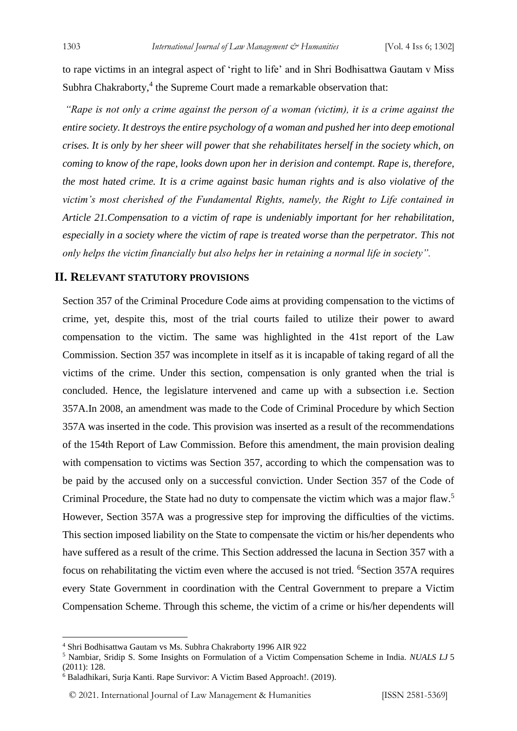to rape victims in an integral aspect of 'right to life' and in Shri Bodhisattwa Gautam v Miss Subhra Chakraborty,<sup>4</sup> the Supreme Court made a remarkable observation that:

*"Rape is not only a crime against the person of a woman (victim), it is a crime against the entire society. It destroys the entire psychology of a woman and pushed her into deep emotional crises. It is only by her sheer will power that she rehabilitates herself in the society which, on coming to know of the rape, looks down upon her in derision and contempt. Rape is, therefore, the most hated crime. It is a crime against basic human rights and is also violative of the victim's most cherished of the Fundamental Rights, namely, the Right to Life contained in Article 21.Compensation to a victim of rape is undeniably important for her rehabilitation, especially in a society where the victim of rape is treated worse than the perpetrator. This not only helps the victim financially but also helps her in retaining a normal life in society".* 

#### **II. RELEVANT STATUTORY PROVISIONS**

Section 357 of the Criminal Procedure Code aims at providing compensation to the victims of crime, yet, despite this, most of the trial courts failed to utilize their power to award compensation to the victim. The same was highlighted in the 41st report of the Law Commission. Section 357 was incomplete in itself as it is incapable of taking regard of all the victims of the crime. Under this section, compensation is only granted when the trial is concluded. Hence, the legislature intervened and came up with a subsection i.e. Section 357A.In 2008, an amendment was made to the Code of Criminal Procedure by which Section 357A was inserted in the code. This provision was inserted as a result of the recommendations of the 154th Report of Law Commission. Before this amendment, the main provision dealing with compensation to victims was Section 357, according to which the compensation was to be paid by the accused only on a successful conviction. Under Section 357 of the Code of Criminal Procedure, the State had no duty to compensate the victim which was a major flaw.<sup>5</sup> However, Section 357A was a progressive step for improving the difficulties of the victims. This section imposed liability on the State to compensate the victim or his/her dependents who have suffered as a result of the crime. This Section addressed the lacuna in Section 357 with a focus on rehabilitating the victim even where the accused is not tried. <sup>6</sup>Section 357A requires every State Government in coordination with the Central Government to prepare a Victim Compensation Scheme. Through this scheme, the victim of a crime or his/her dependents will

<sup>4</sup> Shri Bodhisattwa Gautam vs Ms. Subhra Chakraborty 1996 AIR 922

<sup>5</sup> Nambiar, Sridip S. Some Insights on Formulation of a Victim Compensation Scheme in India. *NUALS LJ* 5 (2011): 128.

<sup>6</sup> Baladhikari, Surja Kanti. Rape Survivor: A Victim Based Approach!. (2019).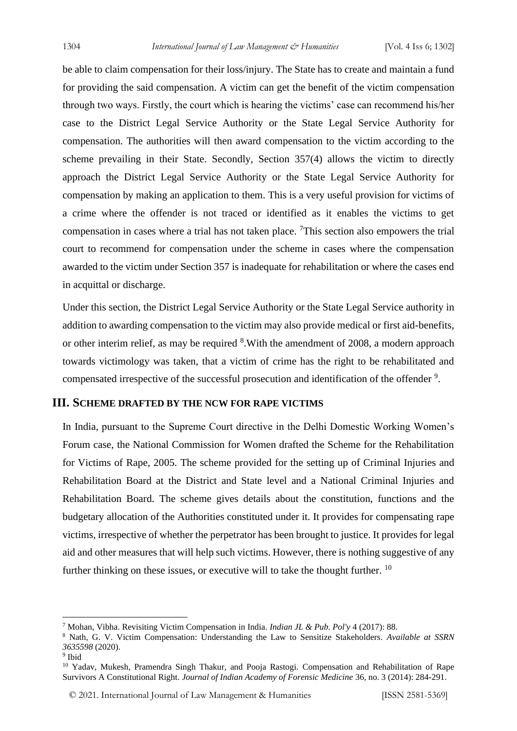be able to claim compensation for their loss/injury. The State has to create and maintain a fund for providing the said compensation. A victim can get the benefit of the victim compensation through two ways. Firstly, the court which is hearing the victims' case can recommend his/her case to the District Legal Service Authority or the State Legal Service Authority for compensation. The authorities will then award compensation to the victim according to the scheme prevailing in their State. Secondly, Section 357(4) allows the victim to directly approach the District Legal Service Authority or the State Legal Service Authority for compensation by making an application to them. This is a very useful provision for victims of a crime where the offender is not traced or identified as it enables the victims to get compensation in cases where a trial has not taken place. <sup>7</sup>This section also empowers the trial court to recommend for compensation under the scheme in cases where the compensation awarded to the victim under Section 357 is inadequate for rehabilitation or where the cases end in acquittal or discharge.

Under this section, the District Legal Service Authority or the State Legal Service authority in addition to awarding compensation to the victim may also provide medical or first aid-benefits, or other interim relief, as may be required <sup>8</sup>. With the amendment of 2008, a modern approach towards victimology was taken, that a victim of crime has the right to be rehabilitated and compensated irrespective of the successful prosecution and identification of the offender<sup>9</sup>.

#### **III. SCHEME DRAFTED BY THE NCW FOR RAPE VICTIMS**

In India, pursuant to the Supreme Court directive in the Delhi Domestic Working Women's Forum case, the National Commission for Women drafted the Scheme for the Rehabilitation for Victims of Rape, 2005. The scheme provided for the setting up of Criminal Injuries and Rehabilitation Board at the District and State level and a National Criminal Injuries and Rehabilitation Board. The scheme gives details about the constitution, functions and the budgetary allocation of the Authorities constituted under it. It provides for compensating rape victims, irrespective of whether the perpetrator has been brought to justice. It provides for legal aid and other measures that will help such victims. However, there is nothing suggestive of any further thinking on these issues, or executive will to take the thought further. <sup>10</sup>

<sup>9</sup> Ibid

<sup>7</sup> Mohan, Vibha. Revisiting Victim Compensation in India. *Indian JL & Pub. Pol'y* 4 (2017): 88.

<sup>8</sup> Nath, G. V. Victim Compensation: Understanding the Law to Sensitize Stakeholders. *Available at SSRN 3635598* (2020).

<sup>&</sup>lt;sup>10</sup> Yadav, Mukesh, Pramendra Singh Thakur, and Pooja Rastogi. Compensation and Rehabilitation of Rape Survivors A Constitutional Right. *Journal of Indian Academy of Forensic Medicine* 36, no. 3 (2014): 284-291.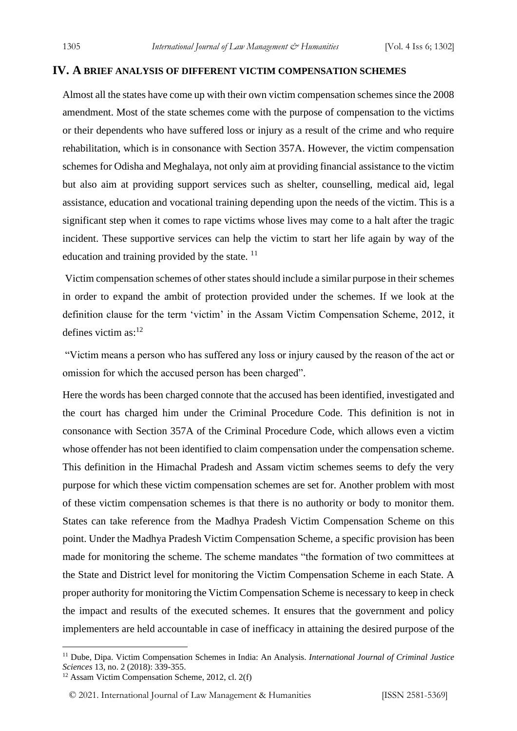#### **IV. A BRIEF ANALYSIS OF DIFFERENT VICTIM COMPENSATION SCHEMES**

Almost all the states have come up with their own victim compensation schemes since the 2008 amendment. Most of the state schemes come with the purpose of compensation to the victims or their dependents who have suffered loss or injury as a result of the crime and who require rehabilitation, which is in consonance with Section 357A. However, the victim compensation schemes for Odisha and Meghalaya, not only aim at providing financial assistance to the victim but also aim at providing support services such as shelter, counselling, medical aid, legal assistance, education and vocational training depending upon the needs of the victim. This is a significant step when it comes to rape victims whose lives may come to a halt after the tragic incident. These supportive services can help the victim to start her life again by way of the education and training provided by the state.<sup>11</sup>

Victim compensation schemes of other states should include a similar purpose in their schemes in order to expand the ambit of protection provided under the schemes. If we look at the definition clause for the term 'victim' in the Assam Victim Compensation Scheme, 2012, it defines victim  $as:$ <sup>12</sup>

"Victim means a person who has suffered any loss or injury caused by the reason of the act or omission for which the accused person has been charged".

Here the words has been charged connote that the accused has been identified, investigated and the court has charged him under the Criminal Procedure Code. This definition is not in consonance with Section 357A of the Criminal Procedure Code, which allows even a victim whose offender has not been identified to claim compensation under the compensation scheme. This definition in the Himachal Pradesh and Assam victim schemes seems to defy the very purpose for which these victim compensation schemes are set for. Another problem with most of these victim compensation schemes is that there is no authority or body to monitor them. States can take reference from the Madhya Pradesh Victim Compensation Scheme on this point. Under the Madhya Pradesh Victim Compensation Scheme, a specific provision has been made for monitoring the scheme. The scheme mandates "the formation of two committees at the State and District level for monitoring the Victim Compensation Scheme in each State. A proper authority for monitoring the Victim Compensation Scheme is necessary to keep in check the impact and results of the executed schemes. It ensures that the government and policy implementers are held accountable in case of inefficacy in attaining the desired purpose of the

<sup>11</sup> Dube, Dipa. Victim Compensation Schemes in India: An Analysis. *International Journal of Criminal Justice Sciences* 13, no. 2 (2018): 339-355.

<sup>12</sup> Assam Victim Compensation Scheme, 2012, cl. 2(f)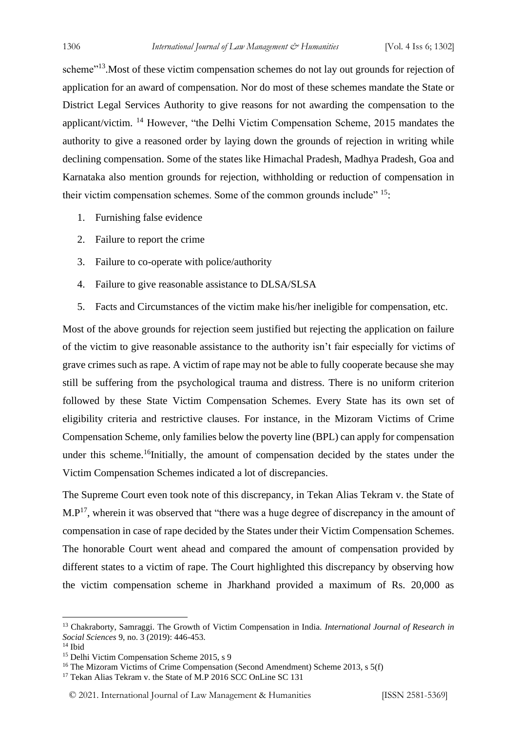scheme"<sup>13</sup>. Most of these victim compensation schemes do not lay out grounds for rejection of application for an award of compensation. Nor do most of these schemes mandate the State or District Legal Services Authority to give reasons for not awarding the compensation to the applicant/victim. <sup>14</sup> However, "the Delhi Victim Compensation Scheme, 2015 mandates the authority to give a reasoned order by laying down the grounds of rejection in writing while declining compensation. Some of the states like Himachal Pradesh, Madhya Pradesh, Goa and Karnataka also mention grounds for rejection, withholding or reduction of compensation in their victim compensation schemes. Some of the common grounds include<sup> $15$ </sup>:

- 1. Furnishing false evidence
- 2. Failure to report the crime
- 3. Failure to co-operate with police/authority
- 4. Failure to give reasonable assistance to DLSA/SLSA
- 5. Facts and Circumstances of the victim make his/her ineligible for compensation, etc.

Most of the above grounds for rejection seem justified but rejecting the application on failure of the victim to give reasonable assistance to the authority isn't fair especially for victims of grave crimes such as rape. A victim of rape may not be able to fully cooperate because she may still be suffering from the psychological trauma and distress. There is no uniform criterion followed by these State Victim Compensation Schemes. Every State has its own set of eligibility criteria and restrictive clauses. For instance, in the Mizoram Victims of Crime Compensation Scheme, only families below the poverty line (BPL) can apply for compensation under this scheme.<sup>16</sup>Initially, the amount of compensation decided by the states under the Victim Compensation Schemes indicated a lot of discrepancies.

The Supreme Court even took note of this discrepancy, in Tekan Alias Tekram v. the State of  $M.P<sup>17</sup>$ , wherein it was observed that "there was a huge degree of discrepancy in the amount of compensation in case of rape decided by the States under their Victim Compensation Schemes. The honorable Court went ahead and compared the amount of compensation provided by different states to a victim of rape. The Court highlighted this discrepancy by observing how the victim compensation scheme in Jharkhand provided a maximum of Rs. 20,000 as

<sup>13</sup> Chakraborty, Samraggi. The Growth of Victim Compensation in India. *International Journal of Research in Social Sciences* 9, no. 3 (2019): 446-453.

<sup>14</sup> Ibid

<sup>&</sup>lt;sup>15</sup> Delhi Victim Compensation Scheme 2015, s 9

<sup>&</sup>lt;sup>16</sup> The Mizoram Victims of Crime Compensation (Second Amendment) Scheme 2013, s 5(f)

<sup>&</sup>lt;sup>17</sup> Tekan Alias Tekram v. the State of M.P 2016 SCC OnLine SC 131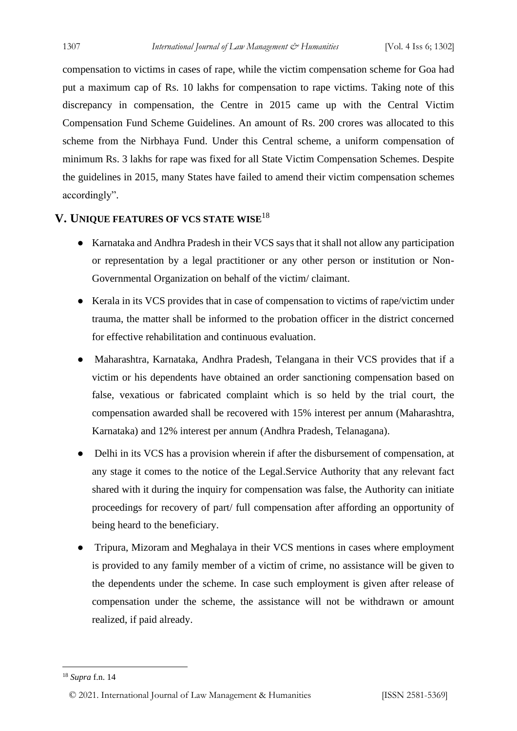compensation to victims in cases of rape, while the victim compensation scheme for Goa had put a maximum cap of Rs. 10 lakhs for compensation to rape victims. Taking note of this discrepancy in compensation, the Centre in 2015 came up with the Central Victim Compensation Fund Scheme Guidelines. An amount of Rs. 200 crores was allocated to this scheme from the Nirbhaya Fund. Under this Central scheme, a uniform compensation of minimum Rs. 3 lakhs for rape was fixed for all State Victim Compensation Schemes. Despite the guidelines in 2015, many States have failed to amend their victim compensation schemes accordingly".

#### **V. UNIQUE FEATURES OF VCS STATE WISE**<sup>18</sup>

- Karnataka and Andhra Pradesh in their VCS says that it shall not allow any participation or representation by a legal practitioner or any other person or institution or Non-Governmental Organization on behalf of the victim/ claimant.
- Kerala in its VCS provides that in case of compensation to victims of rape/victim under trauma, the matter shall be informed to the probation officer in the district concerned for effective rehabilitation and continuous evaluation.
- Maharashtra, Karnataka, Andhra Pradesh, Telangana in their VCS provides that if a victim or his dependents have obtained an order sanctioning compensation based on false, vexatious or fabricated complaint which is so held by the trial court, the compensation awarded shall be recovered with 15% interest per annum (Maharashtra, Karnataka) and 12% interest per annum (Andhra Pradesh, Telanagana).
- Delhi in its VCS has a provision wherein if after the disbursement of compensation, at any stage it comes to the notice of the Legal.Service Authority that any relevant fact shared with it during the inquiry for compensation was false, the Authority can initiate proceedings for recovery of part/ full compensation after affording an opportunity of being heard to the beneficiary.
- Tripura, Mizoram and Meghalaya in their VCS mentions in cases where employment is provided to any family member of a victim of crime, no assistance will be given to the dependents under the scheme. In case such employment is given after release of compensation under the scheme, the assistance will not be withdrawn or amount realized, if paid already.

<sup>18</sup> *Supra* f.n. 14

<sup>© 2021.</sup> International Journal of [Law Management & Humanities](https://www.ijlmh.com/) [ISSN 2581-5369]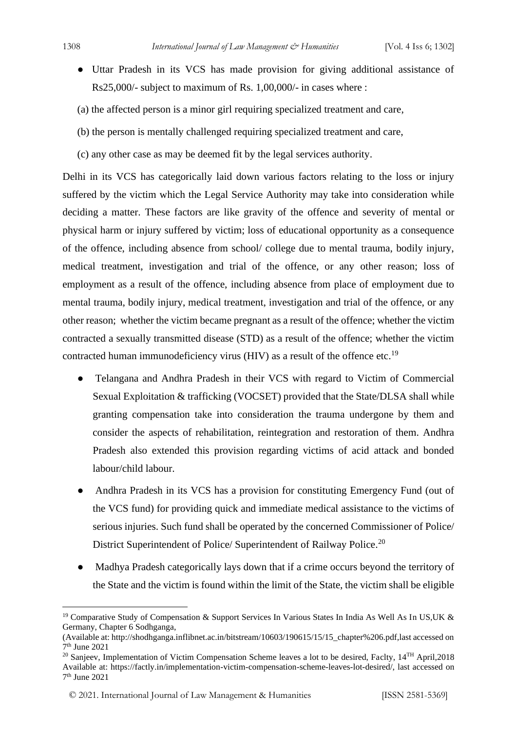- Uttar Pradesh in its VCS has made provision for giving additional assistance of Rs25,000/- subject to maximum of Rs. 1,00,000/- in cases where :
- (a) the affected person is a minor girl requiring specialized treatment and care,
- (b) the person is mentally challenged requiring specialized treatment and care,
- (c) any other case as may be deemed fit by the legal services authority.

Delhi in its VCS has categorically laid down various factors relating to the loss or injury suffered by the victim which the Legal Service Authority may take into consideration while deciding a matter. These factors are like gravity of the offence and severity of mental or physical harm or injury suffered by victim; loss of educational opportunity as a consequence of the offence, including absence from school/ college due to mental trauma, bodily injury, medical treatment, investigation and trial of the offence, or any other reason; loss of employment as a result of the offence, including absence from place of employment due to mental trauma, bodily injury, medical treatment, investigation and trial of the offence, or any other reason; whether the victim became pregnant as a result of the offence; whether the victim contracted a sexually transmitted disease (STD) as a result of the offence; whether the victim contracted human immunodeficiency virus (HIV) as a result of the offence etc.<sup>19</sup>

- Telangana and Andhra Pradesh in their VCS with regard to Victim of Commercial Sexual Exploitation & trafficking (VOCSET) provided that the State/DLSA shall while granting compensation take into consideration the trauma undergone by them and consider the aspects of rehabilitation, reintegration and restoration of them. Andhra Pradesh also extended this provision regarding victims of acid attack and bonded labour/child labour.
- Andhra Pradesh in its VCS has a provision for constituting Emergency Fund (out of the VCS fund) for providing quick and immediate medical assistance to the victims of serious injuries. Such fund shall be operated by the concerned Commissioner of Police/ District Superintendent of Police/ Superintendent of Railway Police.<sup>20</sup>
- Madhya Pradesh categorically lays down that if a crime occurs beyond the territory of the State and the victim is found within the limit of the State, the victim shall be eligible

<sup>&</sup>lt;sup>19</sup> Comparative Study of Compensation & Support Services In Various States In India As Well As In US, UK & Germany, Chapter 6 Sodhganga,

<sup>(</sup>Available at: http://shodhganga.inflibnet.ac.in/bitstream/10603/190615/15/15\_chapter%206.pdf,last accessed on 7 th June 2021

<sup>&</sup>lt;sup>20</sup> Sanjeev, Implementation of Victim Compensation Scheme leaves a lot to be desired, Faclty, 14<sup>TH</sup> April, 2018 Available at: https://factly.in/implementation-victim-compensation-scheme-leaves-lot-desired/, last accessed on 7 th June 2021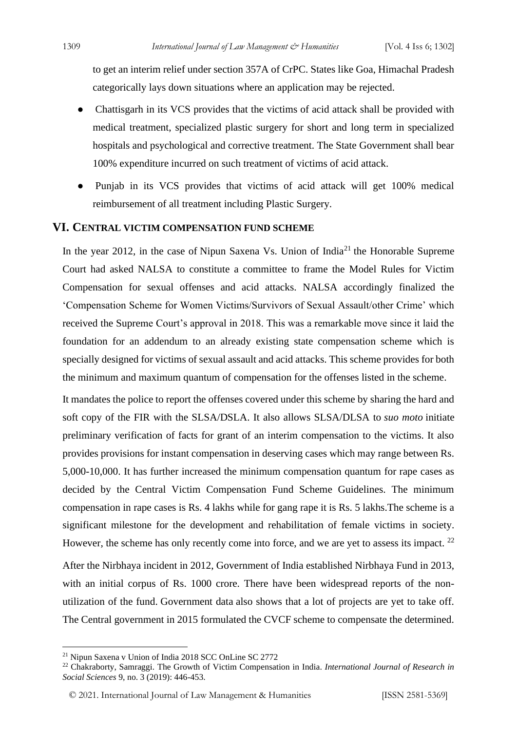to get an interim relief under section 357A of CrPC. States like Goa, Himachal Pradesh categorically lays down situations where an application may be rejected.

- Chattisgarh in its VCS provides that the victims of acid attack shall be provided with medical treatment, specialized plastic surgery for short and long term in specialized hospitals and psychological and corrective treatment. The State Government shall bear 100% expenditure incurred on such treatment of victims of acid attack.
- Punjab in its VCS provides that victims of acid attack will get 100% medical reimbursement of all treatment including Plastic Surgery.

#### **VI. CENTRAL VICTIM COMPENSATION FUND SCHEME**

In the year 2012, in the case of Nipun Saxena Vs. Union of India<sup>21</sup> the Honorable Supreme Court had asked NALSA to constitute a committee to frame the Model Rules for Victim Compensation for sexual offenses and acid attacks. NALSA accordingly finalized the 'Compensation Scheme for Women Victims/Survivors of Sexual Assault/other Crime' which received the Supreme Court's approval in 2018. This was a remarkable move since it laid the foundation for an addendum to an already existing state compensation scheme which is specially designed for victims of sexual assault and acid attacks. This scheme provides for both the minimum and maximum quantum of compensation for the offenses listed in the scheme.

It mandates the police to report the offenses covered under this scheme by sharing the hard and soft copy of the FIR with the SLSA/DSLA. It also allows SLSA/DLSA to *suo moto* initiate preliminary verification of facts for grant of an interim compensation to the victims. It also provides provisions for instant compensation in deserving cases which may range between Rs. 5,000-10,000. It has further increased the minimum compensation quantum for rape cases as decided by the Central Victim Compensation Fund Scheme Guidelines. The minimum compensation in rape cases is Rs. 4 lakhs while for gang rape it is Rs. 5 lakhs.The scheme is a significant milestone for the development and rehabilitation of female victims in society. However, the scheme has only recently come into force, and we are yet to assess its impact. <sup>22</sup>

After the Nirbhaya incident in 2012, Government of India established Nirbhaya Fund in 2013, with an initial corpus of Rs. 1000 crore. There have been widespread reports of the nonutilization of the fund. Government data also shows that a lot of projects are yet to take off. The Central government in 2015 formulated the CVCF scheme to compensate the determined.

<sup>21</sup> Nipun Saxena v Union of India 2018 SCC OnLine SC 2772

<sup>22</sup> Chakraborty, Samraggi. The Growth of Victim Compensation in India. *International Journal of Research in Social Sciences* 9, no. 3 (2019): 446-453.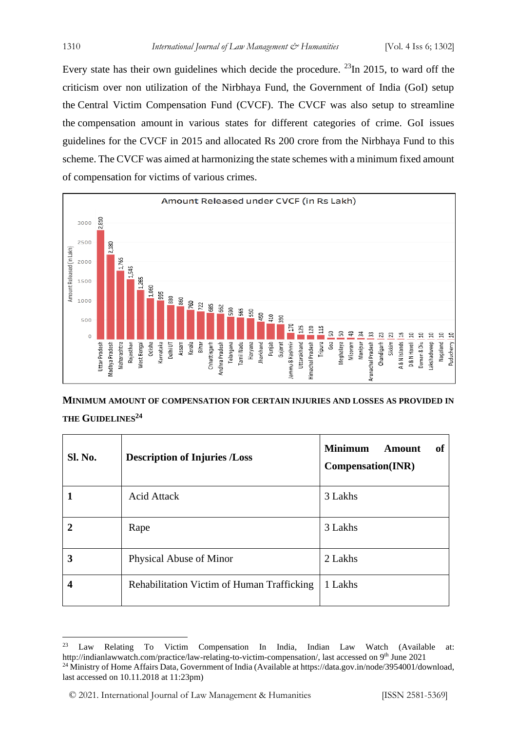Every state has their own guidelines which decide the procedure.  $^{23}$ In 2015, to ward off the criticism over non utilization of the Nirbhaya Fund, the Government of India (GoI) setup the Central Victim Compensation Fund (CVCF). The CVCF was also setup to streamline the compensation amount in various states for different categories of crime. GoI issues guidelines for the CVCF in 2015 and allocated Rs 200 crore from the Nirbhaya Fund to this scheme. The CVCF was aimed at harmonizing the state schemes with a minimum fixed amount of compensation for victims of various crimes.



**MINIMUM AMOUNT OF COMPENSATION FOR CERTAIN INJURIES AND LOSSES AS PROVIDED IN THE GUIDELINES<sup>24</sup>**

| <b>Sl. No.</b> | <b>Description of Injuries /Loss</b>       | <b>Minimum</b><br>Amount<br>0f<br><b>Compensation(INR)</b> |
|----------------|--------------------------------------------|------------------------------------------------------------|
|                | <b>Acid Attack</b>                         | 3 Lakhs                                                    |
| $\mathbf 2$    | Rape                                       | 3 Lakhs                                                    |
| 3              | Physical Abuse of Minor                    | 2 Lakhs                                                    |
| 4              | Rehabilitation Victim of Human Trafficking | 1 Lakhs                                                    |

<sup>23</sup> Law Relating To Victim Compensation In India, Indian Law Watch (Available at: http://indianlawwatch.com/practice/law-relating-to-victim-compensation/, last accessed on 9<sup>th</sup> June 2021 <sup>24</sup> Ministry of Home Affairs Data, Government of India (Available at https://data.gov.in/node/3954001/download, last accessed on 10.11.2018 at 11:23pm)

<sup>© 2021.</sup> International Journal of [Law Management & Humanities](https://www.ijlmh.com/) [ISSN 2581-5369]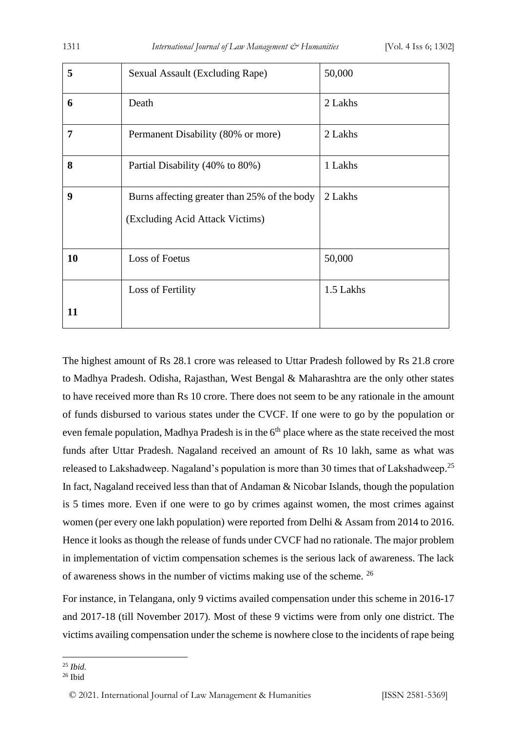| 5  | Sexual Assault (Excluding Rape)                                                 | 50,000    |
|----|---------------------------------------------------------------------------------|-----------|
| 6  | Death                                                                           | 2 Lakhs   |
| 7  | Permanent Disability (80% or more)                                              | 2 Lakhs   |
| 8  | Partial Disability (40% to 80%)                                                 | 1 Lakhs   |
| 9  | Burns affecting greater than 25% of the body<br>(Excluding Acid Attack Victims) | 2 Lakhs   |
| 10 | <b>Loss of Foetus</b>                                                           | 50,000    |
|    | Loss of Fertility                                                               | 1.5 Lakhs |
| 11 |                                                                                 |           |

The highest amount of Rs 28.1 crore was released to Uttar Pradesh followed by Rs 21.8 crore to Madhya Pradesh. Odisha, Rajasthan, West Bengal & Maharashtra are the only other states to have received more than Rs 10 crore. There does not seem to be any rationale in the amount of funds disbursed to various states under the CVCF. If one were to go by the population or even female population, Madhya Pradesh is in the  $6<sup>th</sup>$  place where as the state received the most funds after Uttar Pradesh. Nagaland received an amount of Rs 10 lakh, same as what was released to Lakshadweep. Nagaland's population is more than 30 times that of Lakshadweep.<sup>25</sup> In fact, Nagaland received less than that of Andaman & Nicobar Islands, though the population is 5 times more. Even if one were to go by crimes against women, the most crimes against women (per every one lakh population) were reported from Delhi & Assam from 2014 to 2016. Hence it looks as though the release of funds under CVCF had no rationale. The major problem in implementation of victim compensation schemes is the serious lack of awareness. The lack of awareness shows in the number of victims making use of the scheme. <sup>26</sup>

For instance, in Telangana, only 9 victims availed compensation under this scheme in 2016-17 and 2017-18 (till November 2017). Most of these 9 victims were from only one district. The victims availing compensation under the scheme is nowhere close to the incidents of rape being

<sup>25</sup> *Ibid.*

<sup>26</sup> Ibid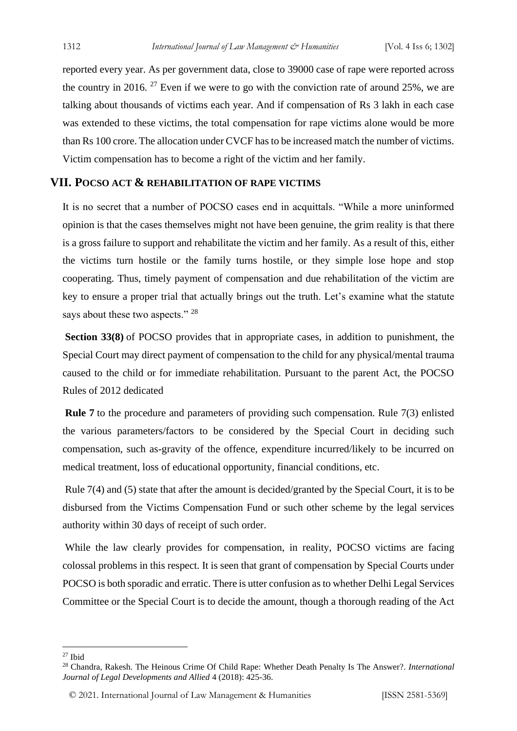reported every year. As per government data, close to 39000 case of rape were reported across the country in 2016. <sup>27</sup> Even if we were to go with the conviction rate of around 25%, we are talking about thousands of victims each year. And if compensation of Rs 3 lakh in each case was extended to these victims, the total compensation for rape victims alone would be more than Rs 100 crore. The allocation under CVCF has to be increased match the number of victims. Victim compensation has to become a right of the victim and her family.

#### **VII. POCSO ACT & REHABILITATION OF RAPE VICTIMS**

It is no secret that a number of POCSO cases end in acquittals. "While a more uninformed opinion is that the cases themselves might not have been genuine, the grim reality is that there is a gross failure to support and rehabilitate the victim and her family. As a result of this, either the victims turn hostile or the family turns hostile, or they simple lose hope and stop cooperating. Thus, timely payment of compensation and due rehabilitation of the victim are key to ensure a proper trial that actually brings out the truth. Let's examine what the statute says about these two aspects." <sup>28</sup>

**Section 33(8)** of POCSO provides that in appropriate cases, in addition to punishment, the Special Court may direct payment of compensation to the child for any physical/mental trauma caused to the child or for immediate rehabilitation. Pursuant to the parent Act, the POCSO Rules of 2012 dedicated

**Rule 7** to the procedure and parameters of providing such compensation. Rule 7(3) enlisted the various parameters/factors to be considered by the Special Court in deciding such compensation, such as-gravity of the offence, expenditure incurred/likely to be incurred on medical treatment, loss of educational opportunity, financial conditions, etc.

Rule 7(4) and (5) state that after the amount is decided/granted by the Special Court, it is to be disbursed from the Victims Compensation Fund or such other scheme by the legal services authority within 30 days of receipt of such order.

While the law clearly provides for compensation, in reality, POCSO victims are facing colossal problems in this respect. It is seen that grant of compensation by Special Courts under POCSO is both sporadic and erratic. There is utter confusion as to whether Delhi Legal Services Committee or the Special Court is to decide the amount, though a thorough reading of the Act

 $27$  Ibid

<sup>28</sup> Chandra, Rakesh. The Heinous Crime Of Child Rape: Whether Death Penalty Is The Answer?. *International Journal of Legal Developments and Allied* 4 (2018): 425-36.

<sup>© 2021.</sup> International Journal of [Law Management & Humanities](https://www.ijlmh.com/) [ISSN 2581-5369]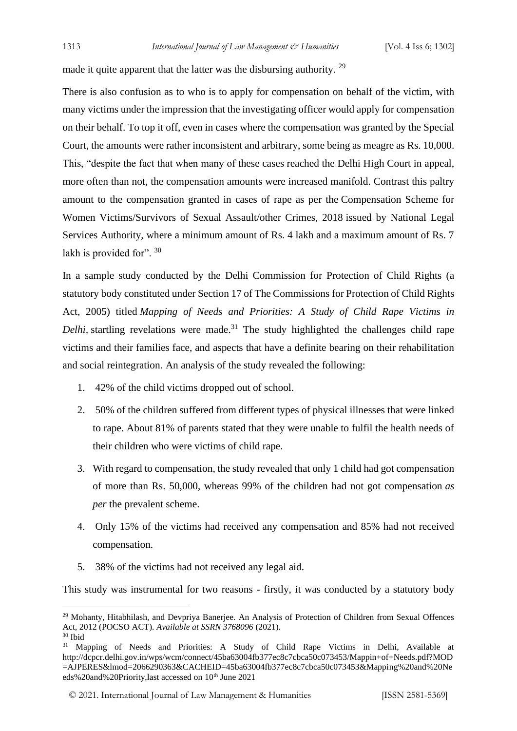made it quite apparent that the latter was the disbursing authority. <sup>29</sup>

There is also confusion as to who is to apply for compensation on behalf of the victim, with many victims under the impression that the investigating officer would apply for compensation on their behalf. To top it off, even in cases where the compensation was granted by the Special Court, the amounts were rather inconsistent and arbitrary, some being as meagre as Rs. 10,000. This, "despite the fact that when many of these cases reached the Delhi High Court in appeal, more often than not, the compensation amounts were increased manifold. Contrast this paltry amount to the compensation granted in cases of rape as per the Compensation Scheme for Women Victims/Survivors of Sexual Assault/other Crimes, 2018 issued by National Legal Services Authority, where a minimum amount of Rs. 4 lakh and a maximum amount of Rs. 7 lakh is provided for". 30

In a sample study conducted by the Delhi Commission for Protection of Child Rights (a statutory body constituted under Section 17 of The Commissions for Protection of Child Rights Act, 2005) titled *Mapping of Needs and Priorities: A Study of Child Rape Victims in Delhi,* startling revelations were made. <sup>31</sup> The study highlighted the challenges child rape victims and their families face, and aspects that have a definite bearing on their rehabilitation and social reintegration. An analysis of the study revealed the following:

- 1. 42% of the child victims dropped out of school.
- 2. 50% of the children suffered from different types of physical illnesses that were linked to rape. About 81% of parents stated that they were unable to fulfil the health needs of their children who were victims of child rape.
- 3. With regard to compensation, the study revealed that only 1 child had got compensation of more than Rs. 50,000, whereas 99% of the children had not got compensation *as per* the prevalent scheme.
- 4. Only 15% of the victims had received any compensation and 85% had not received compensation.
- 5. 38% of the victims had not received any legal aid.

This study was instrumental for two reasons - firstly, it was conducted by a statutory body

<sup>&</sup>lt;sup>29</sup> Mohanty, Hitabhilash, and Devpriya Banerjee. An Analysis of Protection of Children from Sexual Offences Act, 2012 (POCSO ACT). *Available at SSRN 3768096* (2021). <sup>30</sup> Ibid

<sup>&</sup>lt;sup>31</sup> Mapping of Needs and Priorities: A Study of Child Rape Victims in Delhi, Available at http://dcpcr.delhi.gov.in/wps/wcm/connect/45ba63004fb377ec8c7cbca50c073453/Mappin+of+Needs.pdf?MOD =AJPERES&lmod=2066290363&CACHEID=45ba63004fb377ec8c7cbca50c073453&Mapping%20and%20Ne eds%20and%20Priority,last accessed on 10<sup>th</sup> June 2021

<sup>© 2021.</sup> International Journal of [Law Management & Humanities](https://www.ijlmh.com/) [ISSN 2581-5369]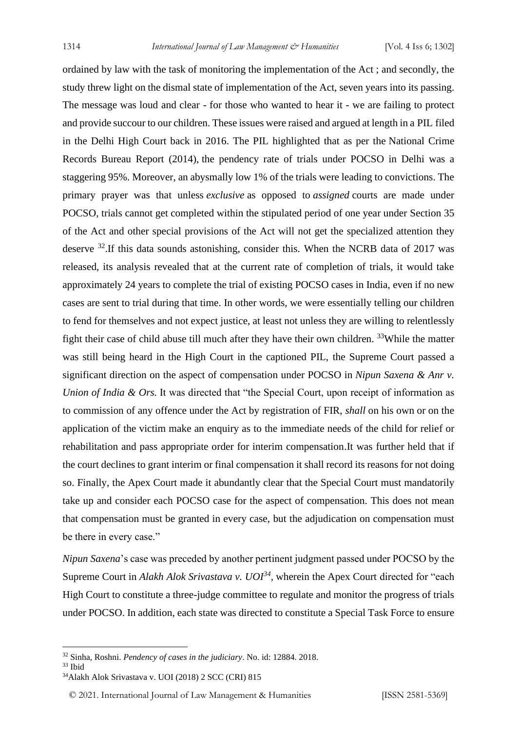ordained by law with the task of monitoring the implementation of the Act ; and secondly, the study threw light on the dismal state of implementation of the Act, seven years into its passing. The message was loud and clear - for those who wanted to hear it - we are failing to protect and provide succour to our children. These issues were raised and argued at length in a PIL filed in the Delhi High Court back in 2016. The PIL highlighted that as per the National Crime Records Bureau Report (2014), the pendency rate of trials under POCSO in Delhi was a staggering 95%. Moreover, an abysmally low 1% of the trials were leading to convictions. The primary prayer was that unless *exclusive* as opposed to *assigned* courts are made under POCSO, trials cannot get completed within the stipulated period of one year under Section 35 of the Act and other special provisions of the Act will not get the specialized attention they deserve <sup>32</sup>.If this data sounds astonishing, consider this. When the NCRB data of 2017 was released, its analysis revealed that at the current rate of completion of trials, it would take approximately 24 years to complete the trial of existing POCSO cases in India, even if no new cases are sent to trial during that time. In other words, we were essentially telling our children to fend for themselves and not expect justice, at least not unless they are willing to relentlessly fight their case of child abuse till much after they have their own children. <sup>33</sup>While the matter was still being heard in the High Court in the captioned PIL, the Supreme Court passed a significant direction on the aspect of compensation under POCSO in *Nipun Saxena & Anr v. Union of India & Ors.* It was directed that "the Special Court, upon receipt of information as to commission of any offence under the Act by registration of FIR, *shall* on his own or on the application of the victim make an enquiry as to the immediate needs of the child for relief or rehabilitation and pass appropriate order for interim compensation.It was further held that if the court declines to grant interim or final compensation it shall record its reasons for not doing so. Finally, the Apex Court made it abundantly clear that the Special Court must mandatorily take up and consider each POCSO case for the aspect of compensation. This does not mean that compensation must be granted in every case, but the adjudication on compensation must be there in every case."

*Nipun Saxena*'s case was preceded by another pertinent judgment passed under POCSO by the Supreme Court in *Alakh Alok Srivastava v. UOI<sup>34</sup>*, wherein the Apex Court directed for "each High Court to constitute a three-judge committee to regulate and monitor the progress of trials under POCSO. In addition, each state was directed to constitute a Special Task Force to ensure

<sup>32</sup> Sinha, Roshni. *Pendency of cases in the judiciary*. No. id: 12884. 2018.

<sup>33</sup> Ibid

<sup>34</sup>Alakh Alok Srivastava v. UOI (2018) 2 SCC (CRI) 815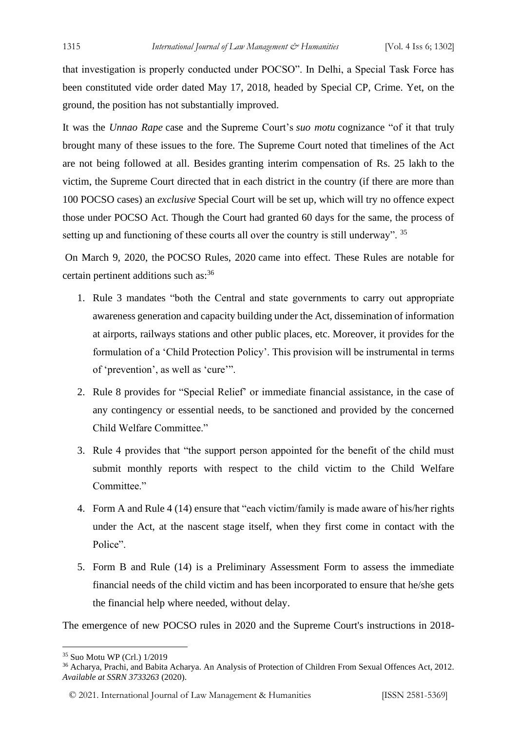that investigation is properly conducted under POCSO". In Delhi, a Special Task Force has been constituted vide order dated May 17, 2018, headed by Special CP, Crime. Yet, on the ground, the position has not substantially improved.

It was the *Unnao Rape* case and the Supreme Court's *suo motu* cognizance "of it that truly brought many of these issues to the fore. The Supreme Court noted that timelines of the Act are not being followed at all. Besides granting interim compensation of Rs. 25 lakh to the victim, the Supreme Court directed that in each district in the country (if there are more than 100 POCSO cases) an *exclusive* Special Court will be set up, which will try no offence expect those under POCSO Act. Though the Court had granted 60 days for the same, the process of setting up and functioning of these courts all over the country is still underway". <sup>35</sup>

On March 9, 2020, the POCSO Rules, 2020 came into effect. These Rules are notable for certain pertinent additions such as:<sup>36</sup>

- 1. Rule 3 mandates "both the Central and state governments to carry out appropriate awareness generation and capacity building under the Act, dissemination of information at airports, railways stations and other public places, etc. Moreover, it provides for the formulation of a 'Child Protection Policy'. This provision will be instrumental in terms of 'prevention', as well as 'cure'".
- 2. Rule 8 provides for "Special Relief' or immediate financial assistance, in the case of any contingency or essential needs, to be sanctioned and provided by the concerned Child Welfare Committee."
- 3. Rule 4 provides that "the support person appointed for the benefit of the child must submit monthly reports with respect to the child victim to the Child Welfare Committee."
- 4. Form A and Rule 4 (14) ensure that "each victim/family is made aware of his/her rights under the Act, at the nascent stage itself, when they first come in contact with the Police".
- 5. Form B and Rule (14) is a Preliminary Assessment Form to assess the immediate financial needs of the child victim and has been incorporated to ensure that he/she gets the financial help where needed, without delay.

The emergence of new POCSO rules in 2020 and the Supreme Court's instructions in 2018-

<sup>35</sup> Suo Motu WP (Crl.) 1/2019

<sup>36</sup> Acharya, Prachi, and Babita Acharya. An Analysis of Protection of Children From Sexual Offences Act, 2012. *Available at SSRN 3733263* (2020).

<sup>© 2021.</sup> International Journal of [Law Management & Humanities](https://www.ijlmh.com/) [ISSN 2581-5369]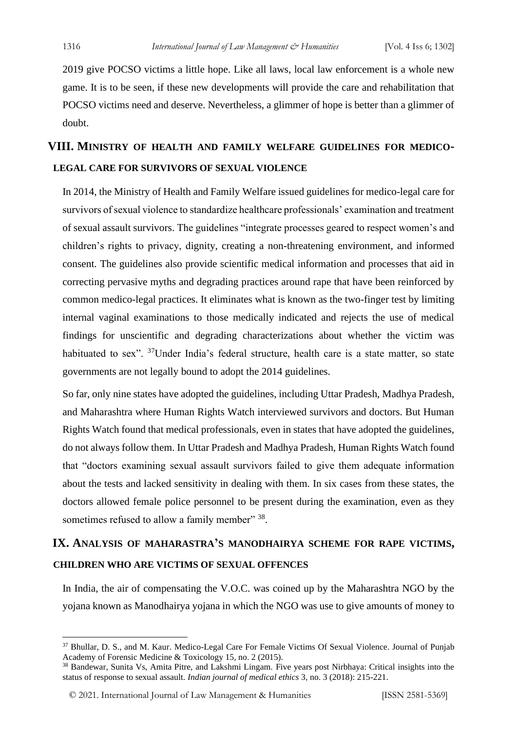2019 give POCSO victims a little hope. Like all laws, local law enforcement is a whole new game. It is to be seen, if these new developments will provide the care and rehabilitation that POCSO victims need and deserve. Nevertheless, a glimmer of hope is better than a glimmer of doubt.

## **VIII. MINISTRY OF HEALTH AND FAMILY WELFARE GUIDELINES FOR MEDICO-LEGAL CARE FOR SURVIVORS OF SEXUAL VIOLENCE**

In 2014, the Ministry of Health and Family Welfare issued guidelines for medico-legal care for survivors of sexual violence to standardize healthcare professionals' examination and treatment of sexual assault survivors. The guidelines "integrate processes geared to respect women's and children's rights to privacy, dignity, creating a non-threatening environment, and informed consent. The guidelines also provide scientific medical information and processes that aid in correcting pervasive myths and degrading practices around rape that have been reinforced by common medico-legal practices. It eliminates what is known as the two-finger test by limiting internal vaginal examinations to those medically indicated and rejects the use of medical findings for unscientific and degrading characterizations about whether the victim was habituated to sex". <sup>37</sup>Under India's federal structure, health care is a state matter, so state governments are not legally bound to adopt the 2014 guidelines.

So far, only nine states have adopted the guidelines, including Uttar Pradesh, Madhya Pradesh, and Maharashtra where Human Rights Watch interviewed survivors and doctors. But Human Rights Watch found that medical professionals, even in states that have adopted the guidelines, do not always follow them. In Uttar Pradesh and Madhya Pradesh, Human Rights Watch found that "doctors examining sexual assault survivors failed to give them adequate information about the tests and lacked sensitivity in dealing with them. In six cases from these states, the doctors allowed female police personnel to be present during the examination, even as they sometimes refused to allow a family member" 38.

## **IX. ANALYSIS OF MAHARASTRA'S MANODHAIRYA SCHEME FOR RAPE VICTIMS, CHILDREN WHO ARE VICTIMS OF SEXUAL OFFENCES**

In India, the air of compensating the V.O.C. was coined up by the Maharashtra NGO by the yojana known as Manodhairya yojana in which the NGO was use to give amounts of money to

<sup>37</sup> Bhullar, D. S., and M. Kaur. Medico-Legal Care For Female Victims Of Sexual Violence. Journal of Punjab Academy of Forensic Medicine & Toxicology 15, no. 2 (2015).

<sup>38</sup> Bandewar, Sunita Vs, Amita Pitre, and Lakshmi Lingam. Five years post Nirbhaya: Critical insights into the status of response to sexual assault. *Indian journal of medical ethics* 3, no. 3 (2018): 215-221.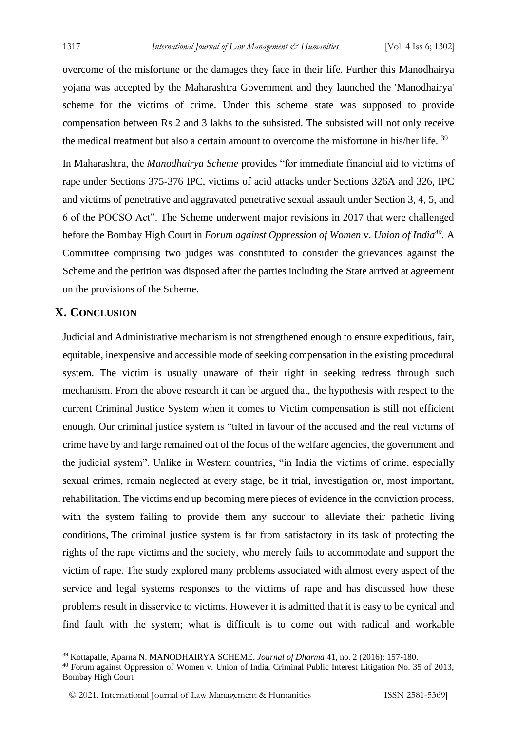overcome of the misfortune or the damages they face in their life. Further this Manodhairya yojana was accepted by the Maharashtra Government and they launched the 'Manodhairya' scheme for the victims of crime. Under this scheme state was supposed to provide compensation between Rs 2 and 3 lakhs to the subsisted. The subsisted will not only receive the medical treatment but also a certain amount to overcome the misfortune in his/her life. <sup>39</sup>

In Maharashtra, the *Manodhairya Scheme* provides "for immediate financial aid to victims of rape under Sections 375-376 IPC, victims of acid attacks under Sections 326A and 326, IPC and victims of penetrative and aggravated penetrative sexual assault under Section 3, 4, 5, and 6 of the POCSO Act". The Scheme underwent major revisions in 2017 that were challenged before the Bombay High Court in *Forum against Oppression of Women* v. *Union of India<sup>40</sup> .* A Committee comprising two judges was constituted to consider the grievances against the Scheme and the petition was disposed after the parties including the State arrived at agreement on the provisions of the Scheme.

#### **X. CONCLUSION**

Judicial and Administrative mechanism is not strengthened enough to ensure expeditious, fair, equitable, inexpensive and accessible mode of seeking compensation in the existing procedural system. The victim is usually unaware of their right in seeking redress through such mechanism. From the above research it can be argued that, the hypothesis with respect to the current Criminal Justice System when it comes to Victim compensation is still not efficient enough. Our criminal justice system is "tilted in favour of the accused and the real victims of crime have by and large remained out of the focus of the welfare agencies, the government and the judicial system". Unlike in Western countries, "in India the victims of crime, especially sexual crimes, remain neglected at every stage, be it trial, investigation or, most important, rehabilitation. The victims end up becoming mere pieces of evidence in the conviction process, with the system failing to provide them any succour to alleviate their pathetic living conditions, The criminal justice system is far from satisfactory in its task of protecting the rights of the rape victims and the society, who merely fails to accommodate and support the victim of rape. The study explored many problems associated with almost every aspect of the service and legal systems responses to the victims of rape and has discussed how these problems result in disservice to victims. However it is admitted that it is easy to be cynical and find fault with the system; what is difficult is to come out with radical and workable

<sup>39</sup> Kottapalle, Aparna N. MANODHAIRYA SCHEME. *Journal of Dharma* 41, no. 2 (2016): 157-180.

<sup>40</sup> Forum against Oppression of Women v. Union of India, Criminal Public Interest Litigation No. 35 of 2013, Bombay High Court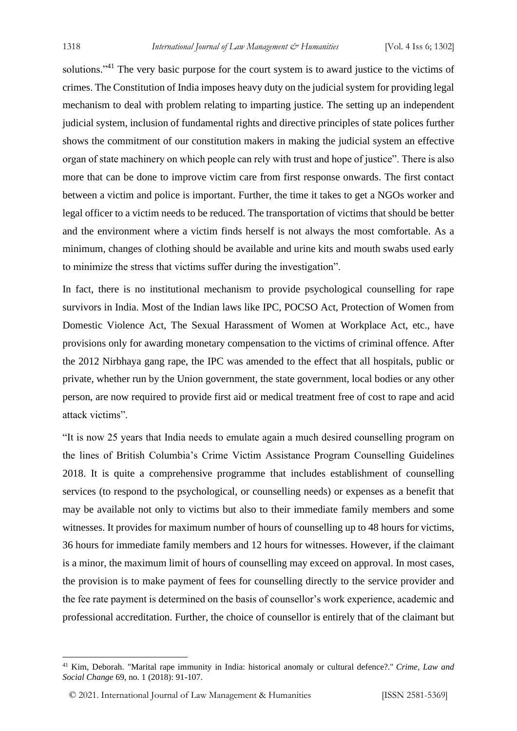solutions."<sup>41</sup> The very basic purpose for the court system is to award justice to the victims of crimes. The Constitution of India imposes heavy duty on the judicial system for providing legal mechanism to deal with problem relating to imparting justice. The setting up an independent judicial system, inclusion of fundamental rights and directive principles of state polices further shows the commitment of our constitution makers in making the judicial system an effective organ of state machinery on which people can rely with trust and hope of justice". There is also more that can be done to improve victim care from first response onwards. The first contact between a victim and police is important. Further, the time it takes to get a NGOs worker and legal officer to a victim needs to be reduced. The transportation of victims that should be better and the environment where a victim finds herself is not always the most comfortable. As a minimum, changes of clothing should be available and urine kits and mouth swabs used early to minimize the stress that victims suffer during the investigation".

In fact, there is no institutional mechanism to provide psychological counselling for rape survivors in India. Most of the Indian laws like IPC, POCSO Act, Protection of Women from Domestic Violence Act, The Sexual Harassment of Women at Workplace Act, etc., have provisions only for awarding monetary compensation to the victims of criminal offence. After the 2012 Nirbhaya gang rape, the IPC was amended to the effect that all hospitals, public or private, whether run by the Union government, the state government, local bodies or any other person, are now required to provide first aid or medical treatment free of cost to rape and acid attack victims".

"It is now 25 years that India needs to emulate again a much desired counselling program on the lines of British Columbia's Crime Victim Assistance Program Counselling Guidelines 2018. It is quite a comprehensive programme that includes establishment of counselling services (to respond to the psychological, or counselling needs) or expenses as a benefit that may be available not only to victims but also to their immediate family members and some witnesses. It provides for maximum number of hours of counselling up to 48 hours for victims, 36 hours for immediate family members and 12 hours for witnesses. However, if the claimant is a minor, the maximum limit of hours of counselling may exceed on approval. In most cases, the provision is to make payment of fees for counselling directly to the service provider and the fee rate payment is determined on the basis of counsellor's work experience, academic and professional accreditation. Further, the choice of counsellor is entirely that of the claimant but

<sup>41</sup> Kim, Deborah. "Marital rape immunity in India: historical anomaly or cultural defence?." *Crime, Law and Social Change* 69, no. 1 (2018): 91-107.

<sup>© 2021.</sup> International Journal of [Law Management & Humanities](https://www.ijlmh.com/) [ISSN 2581-5369]